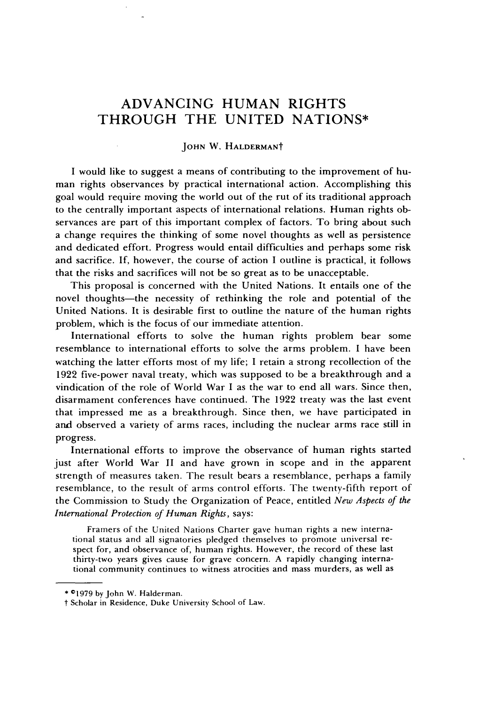## **ADVANCING HUMAN** RIGHTS THROUGH THE **UNITED NATIONS\***

## **JOHN** W. HALDERMANt

**I** would like to suggest a means of contributing to the improvement of human rights observances by practical international action. Accomplishing this goal would require moving the world out of the rut of its traditional approach to the centrally important aspects of international relations. Human rights observances are part of this important complex of factors. To bring about such a change requires the thinking of some novel thoughts as well as persistence and dedicated effort. Progress would entail difficulties and perhaps some risk and sacrifice. If, however, the course of action I outline is practical, it follows that the risks and sacrifices will not be so great as to be unacceptable.

This proposal is concerned with the United Nations. It entails one of the novel thoughts—the necessity of rethinking the role and potential of the United Nations. It is desirable first to outline the nature of the human rights problem, which is the focus of our immediate attention.

International efforts to solve the human rights problem bear some resemblance to international efforts to solve the arms problem. I have been watching the latter efforts most of my life; I retain a strong recollection of the 1922 five-power naval treaty, which was supposed to be a breakthrough and a vindication of the role of World War I as the war to end all wars. Since then, disarmament conferences have continued. The 1922 treaty was the last event that impressed me as a breakthrough. Since then, we have participated in and observed a variety of arms races, including the nuclear arms race still in progress.

International efforts to improve the observance of human rights started just after World War II and have grown in scope and in the apparent strength of measures taken. The result bears a resemblance, perhaps a family resemblance, to the result of arms control efforts. The twenty-fifth report of the Commission to Study the Organization of Peace, entitled *New Aspects of the International Protection of Human Rights,* says:

Framers of the United Nations Charter gave human rights a new international status and all signatories pledged themselves to promote universal respect for, and observance of, human rights. However, the record of these last thirty-two years gives cause for grave concern. A rapidly changing international community continues to witness atrocities and mass murders, as well as

<sup>\*</sup> c1979 by John W. Halderman.

**f** Scholar in Residence, Duke University School of Law.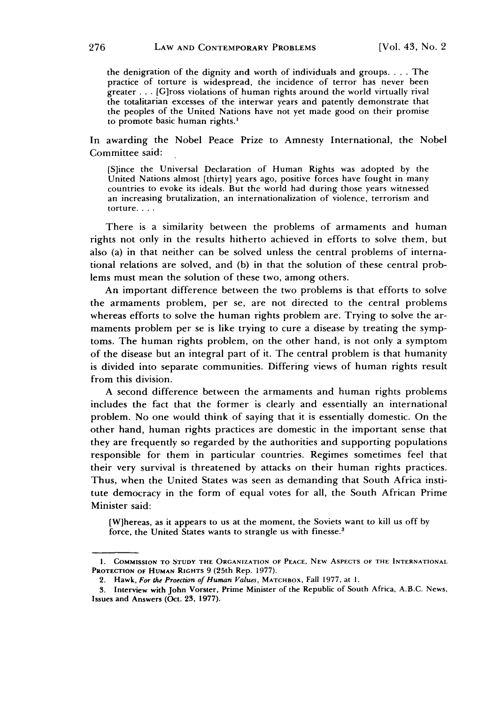the denigration of the dignity and worth of individuals and groups. . **.** . The practice of torture is widespread, the incidence of terror has never been greater . . • [G]ross violations of human rights around the world virtually rival the totalitarian excesses of the interwar years and patently demonstrate that the peoples of the United Nations have not yet made good on their promise to promote basic human rights.'

In awarding the Nobel Peace Prize to Amnesty International, the Nobel Committee said:

[S]ince the Universal Declaration of Human Rights was adopted by the United Nations almost [thirty] years ago, positive forces have fought in many countries to evoke its ideals. But the world had during those years witnessed an increasing brutalization, an internationalization of violence, terrorism and torture....

There is a similarity between the problems of armaments and human rights not only in the results hitherto achieved in efforts to solve them, but also (a) in that neither can be solved unless the central problems of international relations are solved, and (b) in that the solution of these central problems must mean the solution of these two, among others.

An important difference between the two problems is that efforts to solve the armaments problem, per se, are not directed to the central problems whereas efforts to solve the human rights problem are. Trying to solve the armaments problem per se is like trying to cure a disease by treating the symptoms. The human rights problem, on the other hand, is not only a symptom of the disease but an integral part of it. The central problem is that humanity is divided into separate communities. Differing views of human rights result from this division.

A second difference between the armaments and human rights problems includes the fact that the former is clearly and essentially an international problem. No one would think of saying that it is essentially domestic. On the other hand, human rights practices are domestic in the important sense that they are frequently so regarded by the authorities and supporting populations responsible for them in particular countries. Regimes sometimes feel that their very survival is threatened by attacks on their human rights practices. Thus, when the United States was seen as demanding that South Africa institute democracy in the form of equal votes for all, the South African Prime Minister said:

[W]hereas, as it appears to us at the moment, the Soviets want to kill us off by force, the United States wants to strangle us with finesse.<sup>3</sup>

**<sup>1.</sup> COMMISSION TO STUDY THE ORGANIZATION OF PEACE, NEW ASPECTS** OF **THE INTERNATIONAL** PROTECTION **OF HUMAN RIGHTS** 9 (25th Rep. 1977).

<sup>2.</sup> Hawk, *For the Proection of Human Values,* **MATCHBOX,** Fall 1977, at 1.

<sup>3.</sup> Interview with John Vorster, Prime Minister of the Republic of South Africa, A.B.C. News. Issues and Answers (Oct. 23, 1977).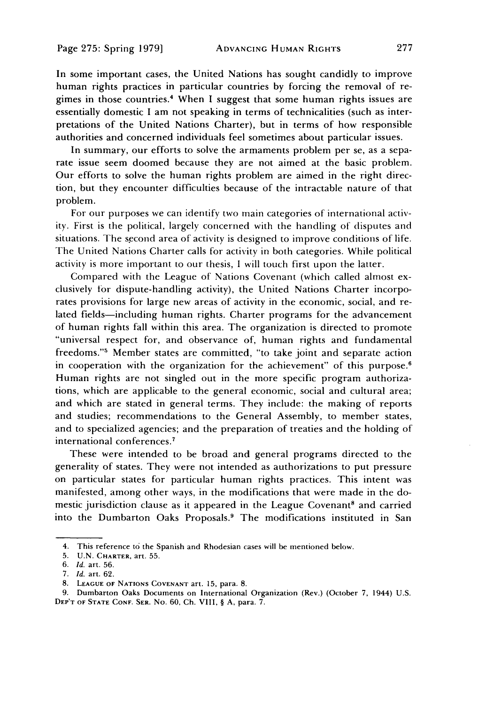In some important cases, the United Nations has sought candidly to improve human rights practices in particular countries by forcing the removal of regimes in those countries.4 When **I** suggest that some human rights issues are essentially domestic I am not speaking in terms of technicalities (such as interpretations of the United Nations Charter), but in terms of how responsible authorities and concerned individuals feel sometimes about particular issues.

In summary, our efforts to solve the armaments problem per se, as a separate issue seem doomed because they are not aimed at the basic problem. Our efforts to solve the human rights problem are aimed in the right direction, but they encounter difficulties because of the intractable nature of that problem.

For our purposes we can identify two main categories of international activity. First is the political, largely concerned with the handling of disputes and situations. The second area of activity is designed to improve conditions of life. The United Nations Charter calls for activity in both categories. While political activity is more important to our thesis, I will touch first upon the latter.

Compared with the League of Nations Covenant (which called almost exclusively for dispute-handling activity), the United Nations Charter incorporates provisions for large new areas of activity in the economic, social, and related fields-including human rights. Charter programs for the advancement of human rights fall within this area. The organization is directed to promote "universal respect for, and observance of, human rights and fundamental freedoms."5 Member states are committed, "to take joint and separate action in cooperation with the organization for the achievement" of this purpose.<sup>6</sup> Human rights are not singled out in the more specific program authorizations, which are applicable to the general economic, social and cultural area; and which are stated in general terms. They include: the making of reports and studies; recommendations to the General Assembly, to member states, and to specialized agencies; and the preparation of treaties and the holding of international conferences.7

These were intended to be broad and general programs directed to the generality of states. They were not intended as authorizations to put pressure on particular states for particular human rights practices. This intent was manifested, among other ways, in the modifications that were made in the domestic jurisdiction clause as it appeared in the League Covenant<sup>8</sup> and carried into the Dumbarton Oaks Proposals.<sup>9</sup> The modifications instituted in San

<sup>4.</sup> This reference to the Spanish and Rhodesian cases will be mentioned below.

<sup>5.</sup> U.N. CHARTER, art. 55.

*<sup>6.</sup> Id.* art. 56.

*<sup>7.</sup> Id.* art. 62.

<sup>8.</sup> **LEAGUE OF NATIONS COVENANT** art. 15, para. 8.

<sup>9.</sup> Dumbarton Oaks Documents on International Organization (Rev.) (October 7, 1944) U.S. DEP'T **OF STATE CONF.** SER. No. 60, Ch. VIII, § A, para. 7.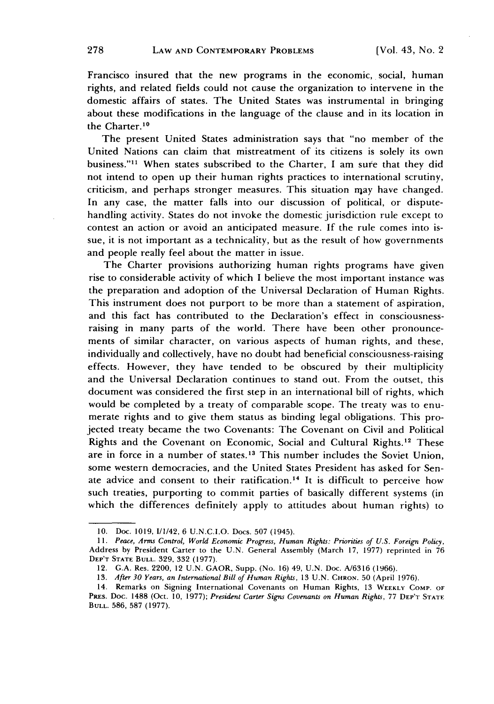Francisco insured that the new programs in the economic, social, human rights, and related fields could not cause the organization to intervene in the domestic affairs of states. The United States was instrumental in bringing about these modifications in the language of the clause and in its location in the Charter.10

The present United States administration says that "no member of the United Nations can claim that mistreatment of its citizens is solely its own business."'" When states subscribed to the Charter, I am sure that they did not intend to open up their human rights practices to international scrutiny, criticism, and perhaps stronger measures. This situation may have changed. In any case, the matter falls into our discussion of political, or disputehandling activity. States do not invoke the domestic jurisdiction rule except to contest an action or avoid an anticipated measure. If the rule comes into issue, it is not important as a technicality, but as the result of how governments and people really feel about the matter in issue.

The Charter provisions authorizing human rights programs have given rise to considerable activity of which I believe the most important instance was the preparation and adoption of the Universal Declaration of Human Rights. This instrument does not purport to be more than a statement of aspiration, and this fact has contributed to the Declaration's effect in consciousnessraising in many parts of the world. There have been other pronouncements of similar character, on various aspects of human rights, and these, individually and collectively, have no doubt had beneficial consciousness-raising effects. However, they have tended to be obscured by their multiplicity and the Universal Declaration continues to stand out. From the outset, this document was considered the first step in an international bill of rights, which would be completed by a treaty of comparable scope. The treaty was to enumerate rights and to give them status as binding legal obligations. This projected treaty became the two Covenants: The Covenant on Civil and Political Rights and the Covenant on Economic, Social and Cultural Rights.12 These are in force in a number of states.<sup>13</sup> This number includes the Soviet Union, some western democracies, and the United States President has asked for Senate advice and consent to their ratification.<sup>14</sup> It is difficult to perceive how such treaties, purporting to commit parties of basically different systems (in which the differences definitely apply to attitudes about human rights) to

<sup>10.</sup> Doc. 1019, I/1/42, 6 U.N.C.I.O. Docs. 507 (1945).

*<sup>11.</sup> Peace, Arms Control, World Economic Progress, Human Rights: Priorities of U.S. Foreign Policy,* Address by President Carter to the U.N. General Assembly (March 17, 1977) reprinted in 76 **DEP'T STATE BULL.** 329, 332 (1977).

<sup>12.</sup> G.A. Res. 2200, 12 U.N. GAOR, Supp. (No. 16) 49, U.N. Doc. A/6316 (1966).

<sup>13.</sup> *After 30 Years, an International Bill of Human Rights,* 13 U.N. CHRON. 50 (April 1976).

<sup>14.</sup> Remarks on Signing International Covenants on Human Rights, 13 WEEKLY COMP. OF PREs. Doc. 1488 (Oct. 10, 1977); *President Carter Signs Covenants on Human Rights,* 77 DEP'T **STATE BULL.** 586, 587 (1977).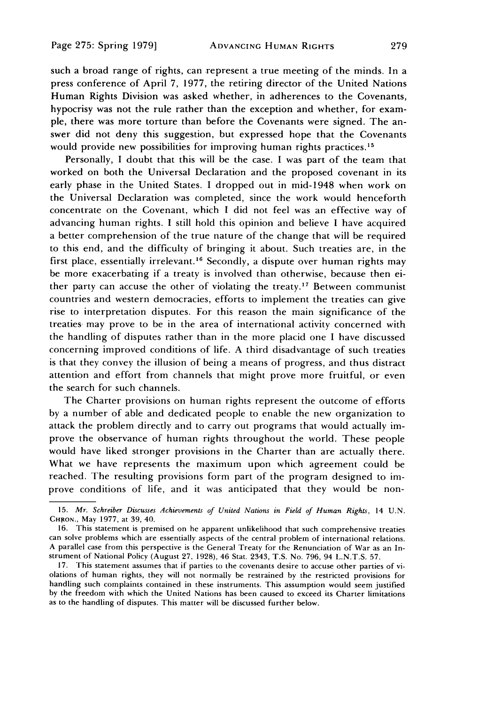such a broad range of rights, can represent a true meeting of the minds. In a press conference of April 7, 1977, the retiring director of the United Nations Human Rights Division was asked whether, in adherences to the Covenants, hypocrisy was not the rule rather than the exception and whether, for example, there was more torture than before the Covenants were signed. The answer did not deny this suggestion, but expressed hope that the Covenants would provide new possibilities for improving human rights practices.<sup>15</sup>

Personally, I doubt that this will be the case. I was part of the team that worked on both the Universal Declaration and the proposed covenant in its early phase in the United States. I dropped out in mid-1948 when work on the Universal Declaration was completed, since the work would henceforth concentrate on the Covenant, which I did not feel was an effective way of advancing human rights. I still hold this opinion and believe I have acquired a better comprehension of the true nature of the change that will be required to this end, and the difficulty of bringing it about. Such treaties are, in the first place, essentially irrelevant.<sup>16</sup> Secondly, a dispute over human rights may be more exacerbating if a treaty is involved than otherwise, because then either party can accuse the other of violating the treaty.<sup>17</sup> Between communist countries and western democracies, efforts to implement the treaties can give rise to interpretation disputes. For this reason the main significance of the treaties. may prove to be in the area of international activity concerned with the handling of disputes rather than in the more placid one I have discussed concerning improved conditions of life. A third disadvantage of such treaties is that they convey the illusion of being a means of progress, and thus distract attention and effort from channels that might prove more fruitful, or even the search for such channels.

The Charter provisions on human rights represent the outcome of efforts by a number of able and dedicated people to enable the new organization to attack the problem directly and to carry out programs that would actually improve the observance of human rights throughout the world. These people would have liked stronger provisions in the Charter than are actually there. What we have represents the maximum upon which agreement could be reached. The resulting provisions form part of the program designed to improve conditions of life, and it was anticipated that they would be non-

**<sup>15.</sup>** *Mr. Schreiber Discusses Achievements of United Nations in Field of Human Rights,* **14 U.N.** CHRON., May 1977, at 39, 40.

<sup>16.</sup> This statement is premised on he apparent unlikelihood that such comprehensive treaties can solve problems which are essentially aspects of the central problem of international relations. A parallel case from this perspective is the General Treaty for the Renunciation of War as an Instrument of National Policy (August 27, 1928), 46 Stat. 2343, T.S. No. 796, 94 L.N.T.S. 57.

<sup>17.</sup> This statement assumes that if parties to the covenants desire to accuse other parties of violations of human rights, they will not normally be restrained by the restricted provisions for handling such complaints contained in these instruments. This assumption would seem justified by the freedom with which the United Nations has been caused to exceed its Charter limitations as to the handling of disputes. This matter will be discussed further below.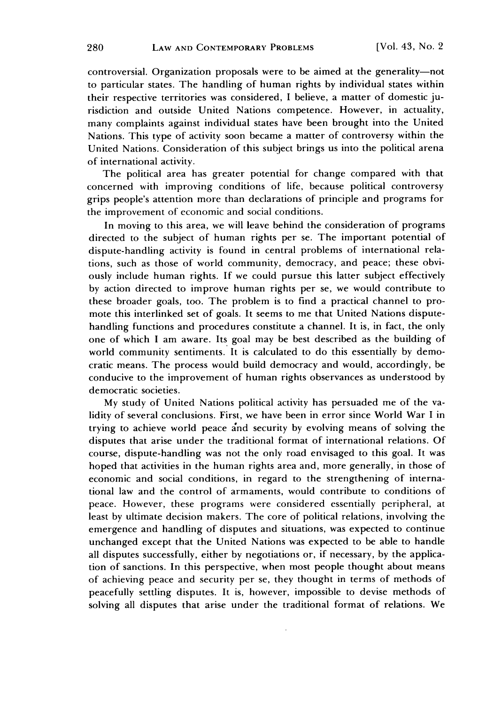controversial. Organization proposals were to be aimed at the generality-not to particular states. The handling of human rights by individual states within their respective territories was considered, I believe, a matter of domestic jurisdiction and outside United Nations competence. However, in actuality, many complaints against individual states have been brought into the United Nations. This type of activity soon became a matter of controversy within the United Nations. Consideration of this subject brings us into the political arena of international activity.

The political area has greater potential for change compared with that concerned with improving conditions of life, because political controversy grips people's attention more than declarations of principle and programs for the improvement of economic and social conditions.

In moving to this area, we will leave behind the consideration of programs directed to the subject of human rights per se. The important potential of dispute-handling activity is found in central problems of international relations, such as those of world community, democracy, and peace; these obviously include human rights. If we could pursue this latter subject effectively by action directed to improve human rights per se, we would contribute to these broader goals, too. The problem is to find a practical channel to promote this interlinked set of goals. It seems to me that United Nations disputehandling functions and procedures constitute a channel. It is, in fact, the only one of which I am aware. Its goal may be best described as the building of world community sentiments. It is calculated to do this essentially by democratic means. The process would build democracy and would, accordingly, be conducive to the improvement of human rights observances as understood by democratic societies.

My study of United Nations political activity has persuaded me of the validity of several conclusions. First, we have been in error since World War I in trying to achieve world peace and security by evolving means of solving the disputes that arise under the traditional format of international relations. Of course, dispute-handling was not the only road envisaged to this goal. It was hoped that activities in the human rights area and, more generally, in those of economic and social conditions, in regard to the strengthening of international law and the control of armaments, would contribute to conditions of peace. However, these programs were considered essentially peripheral, at least by ultimate decision makers. The core of political relations, involving the emergence and handling of disputes and situations, was expected to continue unchanged except that the United Nations was expected to be able to handle all disputes successfully, either by negotiations or, if necessary, by the application of sanctions. In this perspective, when most people thought about means of achieving peace and security per se, they thought in terms of methods of peacefully settling disputes. It is, however, impossible to devise methods of solving all disputes that arise under the traditional format of relations. We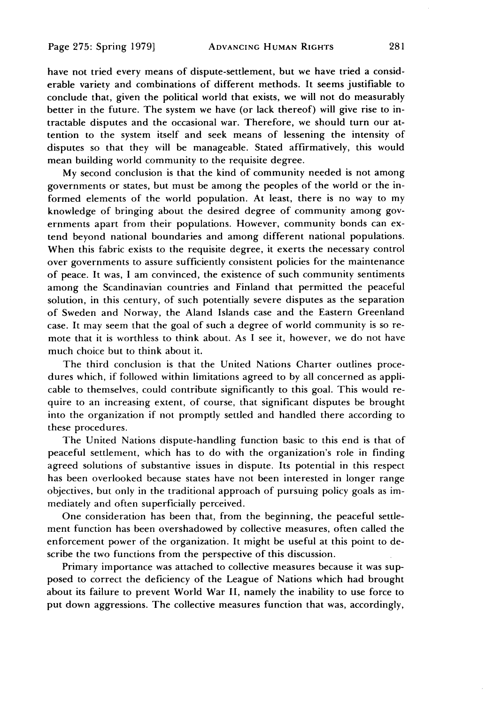have not tried every means of dispute-settlement, but we have tried a considerable variety and combinations of different methods. It seems justifiable to conclude that, given the political world that exists, we will not do measurably better in the future. The system we have (or lack thereof) will give rise to intractable disputes and the occasional war. Therefore, we should turn our attention to the system itself and seek means of lessening the intensity of disputes so that they will be manageable. Stated affirmatively, this would mean building world community to the requisite degree.

My second conclusion is that the kind of community needed is not among governments or states, but must be among the peoples of the world or the informed elements of the world population. At least, there is no way to my knowledge of bringing about the desired degree of community among governments apart from their populations. However, community bonds can extend beyond national boundaries and among different national populations. When this fabric exists to the requisite degree, it exerts the necessary control over governments to assure sufficiently consistent policies for the maintenance of peace. It was, I am convinced, the existence of such community sentiments among the Scandinavian countries and Finland that permitted the peaceful solution, in this century, of such potentially severe disputes as the separation of Sweden and Norway, the Aland Islands case and the Eastern Greenland case. It may seem that the goal of such a degree of world community is so remote that it is worthless to think about. As I see it, however, we do not have much choice but to think about it.

The third conclusion is that the United Nations Charter outlines procedures which, if followed within limitations agreed to by all concerned as applicable to themselves, could contribute significantly to this goal. This would require to an increasing extent, of course, that significant disputes be brought into the organization if not promptly settled and handled there according to these procedures.

The United Nations dispute-handling function basic to this end is that of peaceful settlement, which has to do with the organization's role in finding agreed solutions of substantive issues in dispute. Its potential in this respect has been overlooked because states have not been interested in longer range objectives, but only in the traditional approach of pursuing policy goals as immediately and often superficially perceived.

One consideration has been that, from the beginning, the peaceful settlement function has been overshadowed by collective measures, often called the enforcement power of the organization. It might be useful at this point to describe the two functions from the perspective of this discussion.

Primary importance was attached to collective measures because it was supposed to correct the deficiency of the League of Nations which had brought about its failure to prevent World War II, namely the inability to use force to put down aggressions. The collective measures function that was, accordingly,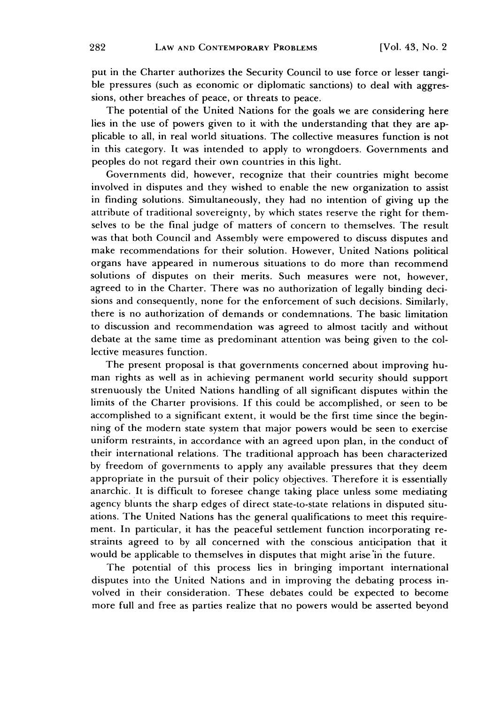put in the Charter authorizes the Security Council to use force or lesser tangible pressures (such as economic or diplomatic sanctions) to deal with aggressions, other breaches of peace, or threats to peace.

The potential of the United Nations for the goals we are considering here lies in the use of powers given to it with the understanding that they are applicable to all, in real world situations. The collective measures function is not in this category. It was intended to apply to wrongdoers. Governments and peoples do not regard their own countries in this light.

Governments did, however, recognize that their countries might become involved in disputes and they wished to enable the new organization to assist in finding solutions. Simultaneously, they had no intention of giving up the attribute of traditional sovereignty, by which states reserve the right for themselves to be the final judge of matters of concern to themselves. The result was that both Council and Assembly were empowered to discuss disputes and make recommendations for their solution. However, United Nations political organs have appeared in numerous situations to do more than recommend solutions of disputes on their merits. Such measures were not, however, agreed to in the Charter. There was no authorization of legally binding decisions and consequently, none for the enforcement of such decisions. Similarly, there is no authorization of demands or condemnations. The basic limitation to discussion and recommendation was agreed to almost tacitly and without debate at the same time as predominant attention was being given to the collective measures function.

The present proposal is that governments concerned about improving human rights as well as in achieving permanent world security should support strenuously the United Nations handling of all significant disputes within the limits of the Charter provisions. If this could be accomplished, or seen to be accomplished to a significant extent, it would be the first time since the beginning of the modern state system that major powers would be seen to exercise uniform restraints, in accordance with an agreed upon plan, in the conduct of their international relations. The traditional approach has been characterized by freedom of governments to apply any available pressures that they deem appropriate in the pursuit of their policy objectives. Therefore it is essentially anarchic. It is difficult to foresee change taking place unless some mediating agency blunts the sharp edges of direct state-to-state relations in disputed situations. The United Nations has the general qualifications to meet this requirement. In particular, it has the peaceful settlement function incorporating restraints agreed to by all concerned with the conscious anticipation that it would be applicable to themselves in disputes that might arise in the future.

The potential of this process lies in bringing important international disputes into the United Nations and in improving the debating process involved in their consideration. These debates could be expected to become more full and free as parties realize that no powers would be asserted beyond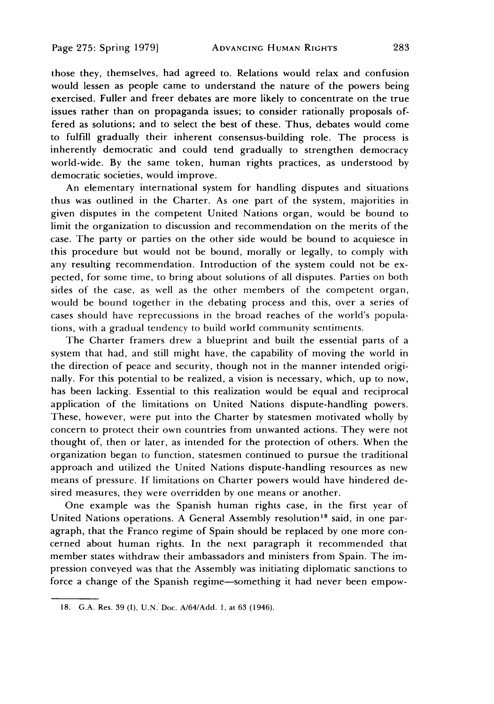those they, themselves, had agreed to. Relations would relax and confusion would lessen as people came to understand the nature of the powers being exercised. Fuller and freer debates are more likely to concentrate on the true issues rather than on propaganda issues; to consider rationally proposals offered as solutions; and to select the best of these. Thus, debates would come to fulfill gradually their inherent consensus-building role. The process is inherently democratic and could tend gradually to strengthen democracy world-wide. By the same token, human rights practices, as understood by democratic societies, would improve.

An elementary international system for handling disputes and situations thus was outlined in the Charter. As one part of the system, majorities in given disputes in the competent United Nations organ, would be bound to limit the organization to discussion and recommendation on the merits of the case. The party or parties on the other side would be bound to acquiesce in this procedure but would not be bound, morally or legally, to comply with any resulting recommendation. Introduction of the system could not be expected, for some time, to bring about solutions of all disputes. Parties on both sides of the case, as well as the other members of the competent organ, would be bound together in the debating process and this, over a series of cases should have reprecussions in the broad reaches of the world's populations, with a gradual tendency to build world community sentiments.

The Charter framers drew a blueprint and built the essential parts of a system that had, and still might have, the capability of moving the world in the direction of peace and security, though not in the manner intended originally. For this potential to be realized, a vision is necessary, which, up to now, has been lacking. Essential to this realization would be equal and reciprocal application of the limitations on United Nations dispute-handling powers. These, however, were put into the Charter by statesmen motivated wholly by concern to protect their own countries from unwanted actions. They were not thought of, then or later, as intended for the protection of others. When the organization began to function, statesmen continued to pursue the traditional approach and utilized the United Nations dispute-handling resources as new means of pressure. If limitations on Charter powers would have hindered desired measures, they were overridden by one means or another.

One example was the Spanish human rights case, in the first year of United Nations operations. A General Assembly resolution<sup>18</sup> said, in one paragraph, that the Franco regime of Spain should be replaced by one more concerned about human rights. In the next paragraph it recommended that member states withdraw their ambassadors and ministers from Spain. The impression conveyed was that the Assembly was initiating diplomatic sanctions to force a change of the Spanish regime-something it had never been empow-

<sup>18.</sup> **G.A.** Res. 39 (1), U.N. Doc. A/64/Add. **1,** at 63 (1946).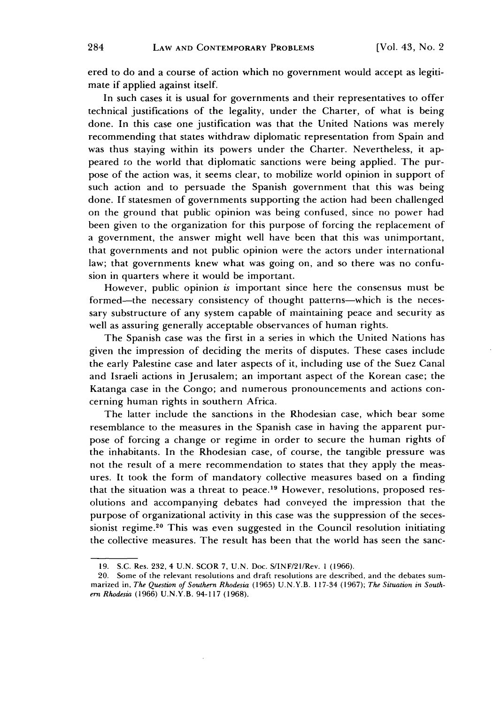ered to do and a course of action which no government would accept as legitimate if applied against itself.

In such cases it is usual for governments and their representatives to offer technical justifications of the legality, under the Charter, of what is being done. In this case one justification was that the United Nations was merely recommending that states withdraw diplomatic representation from Spain and was thus staying within its powers under the Charter. Nevertheless, it appeared to the world that diplomatic sanctions were being applied. The purpose of the action was, it seems clear, to mobilize world opinion in support of such action and to persuade the Spanish government that this was being done. If statesmen of governments supporting the action had been challenged on the ground that public opinion was being confused, since no power had been given to the organization for this purpose of forcing the replacement of a government, the answer might well have been that this was unimportant, that governments and not public opinion were the actors under international law; that governments knew what was going on, and so there was no confusion in quarters where it would be important.

However, public opinion is important since here the consensus must be formed-the necessary consistency of thought patterns-which is the necessary substructure of any system capable of maintaining peace and security as well as assuring generally acceptable observances of human rights.

The Spanish case was the first in a series in which the United Nations has given the impression of deciding the merits of disputes. These cases include the early Palestine case and later aspects of it, including use of the Suez Canal and Israeli actions in Jerusalem; an important aspect of the Korean case; the Katanga case in the Congo; and numerous pronouncements and actions concerning human rights in southern Africa.

The latter include the sanctions in the Rhodesian case, which bear some resemblance to the measures in the Spanish case in having the apparent purpose of forcing a change or regime in order to secure the human rights of the inhabitants. In the Rhodesian case, of course, the tangible pressure was not the result of a mere recommendation to states that they apply the measures. It took the form of mandatory collective measures based on a finding that the situation was a threat to peace.<sup>19</sup> However, resolutions, proposed resolutions and accompanying debates had conveyed the impression that the purpose of organizational activity in this case was the suppression of the secessionist regime.<sup>20</sup> This was even suggested in the Council resolution initiating the collective measures. The result has been that the world has seen the sanc-

<sup>19.</sup> S.C. Res. 232, 4 U.N. SCOR 7, U.N. Doc. S/INF/21/Rev. 1 (1966).

<sup>20.</sup> Some of the relevant resolutions and draft resolutions are described, and the debates summarized in, *The Question of Southern Rhodesia* (1965) **U.N,Y.B.** 117-34 (1967); *The Situation in Southern Rhodesia* (1966) **U.N.Y.B.** 94-117 (1968).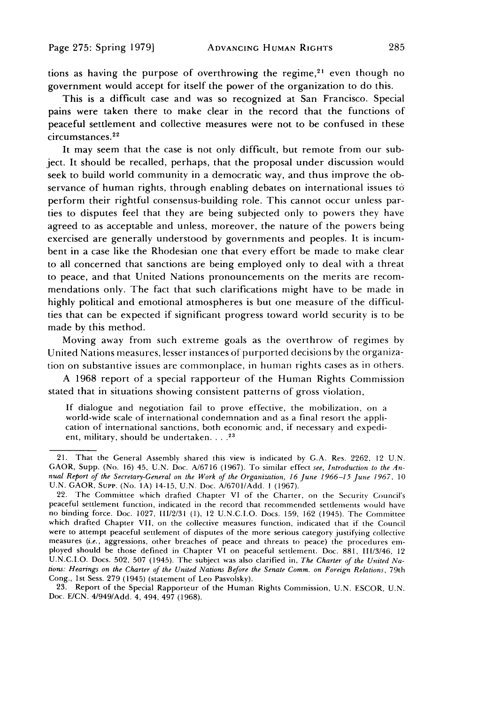tions as having the purpose of overthrowing the regime,<sup>21</sup> even though no government would accept for itself the power of the organization to do this.

This is a difficult case and was so recognized at San Francisco. Special pains were taken there to make clear in the record that the functions of peaceful settlement and collective measures were not to be confused in these .<br>circumstances.<sup>22</sup>

It may seem that the case is not only difficult, but remote from our subject. It should be recalled, perhaps, that the proposal under discussion would seek to build world community in a democratic way, and thus improve the observance of human rights, through enabling debates on international issues to perform their rightful consensus-building role. This cannot occur unless parties to disputes feel that they are being subjected only to powers they have agreed to as acceptable and unless, moreover, the nature of the powers being exercised are generally understood by governments and peoples. It is incumbent in a case like the Rhodesian one that every effort be made to make clear to all concerned that sanctions are being employed only to deal with a threat to peace, and that United Nations pronouncements on the merits are recommendations only. The fact that such clarifications might have to be made in highly political and emotional atmospheres is but one measure of the difficulties that can be expected if significant progress toward world security is to be made by this method.

Moving away from such extreme goals as the overthrow of regimes by United Nations measures, lesser instances of purported decisions by the organization on substantive issues are comnonplace, in human rights cases as in others.

A 1968 report of a special rapporteur of the Human Rights Commission stated that in situations showing consistent patterns of gross violation,

If dialogue and negotiation fail to prove effective, the mobilization, on a world-wide scale of international condemnation and as a final resort the application of international sanctions, both economic and, if necessary and expedient, military, should be undertaken. . . . <sup>23</sup>

23. Report of the Special Rapporteur of the Human Rights Commission, U.N. ESCOR, U.N. Doc. E/CN. 4/949/Add. 4, 494, 497 (1968).

<sup>21.</sup> That the General Assembly shared this view is indicated by G.A. Res. 2262, 12 U.N. GAOR, Supp. (No. 16) 45, U.N. Doc. A/6716 (1967). To similar effect *see, Introduction to the* An*nual Report of the Secretary-General on the Work of the Organization, 16 June 1966-15* June *1967.* 10 U.N. GAOR, Supp. (No. **IA)** 14-15, U.N. Doc. A/6701/Add. **1** (1967).

<sup>22.</sup> The Committee which drafted Chapter VI of the Charter, on the Security Council's peaceful settlement function, indicated in the record that recommended settlements would have no binding force. Doc. 1027, 111/2/31 (1), 12 U.N.C.I.O. Docs. 159, 162 (1945). The Committee which drafted Chapter VII, on the collective measures function, indicated that if the Council were to attempt peaceful settlement of disputes of the more serious category justifying collective measures *(i.e.,* aggressions, other breaches of peace and threats to peace) the procedures employed should be those defined in Chapter VI on peaceful settlement. Doc. 881, 111/3/46, 12 U.N.C.I.O. Docs. 502, 507 (1945). The subject was also clarified in, *The Charter of the United Na*tions: Hearings on the Charter of the United Nations Before the Senate Comm. on Foreign Relations, 79th Cong., 1st Sess. 279 (1945) (statement of Leo Pasvolsky).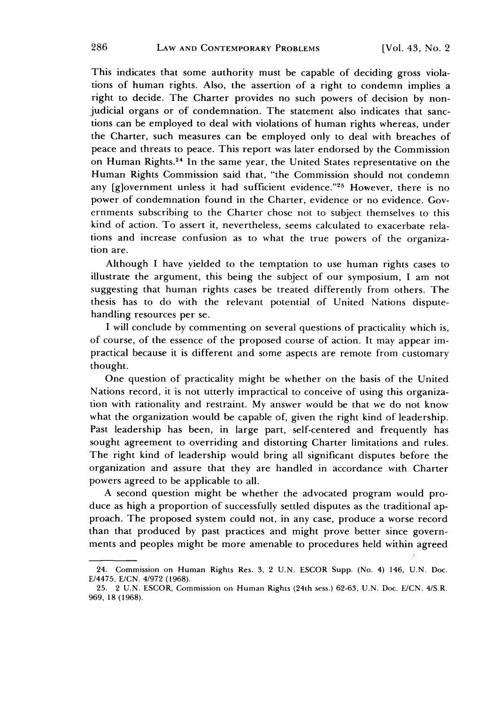This indicates that some authority must be capable of deciding gross violations of human rights. Also, the assertion of a right to condemn implies a right to decide. The Charter provides no such powers of decision by nonjudicial organs or of condemnation. The statement also indicates that sanctions can be employed to deal with violations of human rights whereas, under the Charter, such measures can be employed only to deal with breaches of peace and threats to peace. This report was later endorsed by the Commission on Human Rights. 24 In the same year, the United States representative on the Human Rights Commission said that, "the Commission should not condemn any  $[g]$ overnment unless it had sufficient evidence."<sup>25</sup> However, there is no power of condemnation found in the Charter, evidence or no evidence. Governments subscribing to the Charter chose not to subject themselves to this kind of action. To assert it, nevertheless, seems calculated to exacerbate relations and increase confusion as to what the true powers of the organization are.

Although I have yielded to the temptation to use human rights cases to illustrate the argument, this being the subject of our symposium, I am not suggesting that human rights cases be treated differently from others. The thesis has to do with the relevant potential of United Nations disputehandling resources per se.

I will conclude by commenting on several questions of practicality which is, of course, of the essence of the proposed course of action. It may appear impractical because it is different and some aspects are remote from customary thought.

One question of practicality might be whether on the basis of the United Nations record, it is not utterly impractical to conceive of using this organization with rationality and restraint. My answer would be that we do not know what the organization would be capable of, given the right kind of leadership. Past leadership has been, in large part, self-centered and frequently has sought agreement to overriding and distorting Charter limitations and rules. The right kind of leadership would bring all significant disputes before the organization and assure that they are handled in accordance with Charter powers agreed to be applicable to all.

A second question might be whether the advocated program would produce as high a proportion of successfully settled disputes as the traditional approach. The proposed system could not, in any case, produce a worse record than that produced by past practices and might prove better since governments and peoples might be more amenable to procedures held within agreed

<sup>24.</sup> Commission on Human Rights Res. **3,** 2 U.N. ESCOR Supp. (No. 4) 146, U.N. Doc. E/4475, E/CN. 4/972 (1968).

<sup>25. 2</sup> U.N. ESCOR, Commission on Human Rights (24th sess.) 62-63, U.N. Doc. E/CN. 4/S.R. 969, 18 (1968).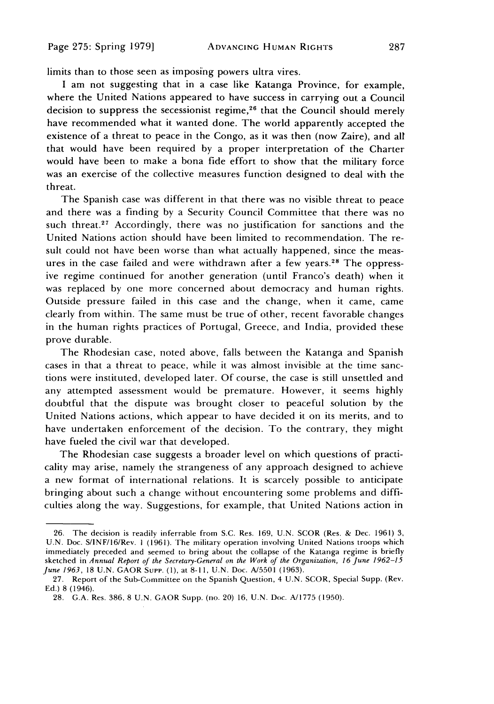limits than to those seen as imposing powers ultra vires.

I am not suggesting that in a case like Katanga Province, for example, where the United Nations appeared to have success in carrying out a Council decision to suppress the secessionist regime, 26 that the Council should merely have recommended what it wanted done. The world apparently accepted the existence of a threat to peace in the Congo, as it was then (now Zaire), and all that would have been required by a proper interpretation of the Charter would have been to make a bona fide effort to show that the military force was an exercise of the collective measures function designed to deal with the threat.

The Spanish case was different in that there was no visible threat to peace and there was a finding by a Security Council Committee that there was no such threat.<sup>27</sup> Accordingly, there was no justification for sanctions and the United Nations action should have been limited to recommendation. The result could not have been worse than what actually happened, since the measures in the case failed and were withdrawn after a few years.<sup>28</sup> The oppressive regime continued for another generation (until Franco's death) when it was replaced by one more concerned about democracy and human rights. Outside pressure failed in this case and the change, when it came, came clearly from within. The same must be true of other, recent favorable changes in the human rights practices of Portugal, Greece, and India, provided these prove durable.

The Rhodesian case, noted above, falls between the Katanga and Spanish cases in that a threat to peace, while it was almost invisible at the time sanctions were instituted, developed later. Of course, the case is still unsettled and any attempted assessment would be premature. However, it seems highly doubtful that the dispute was brought closer to peaceful solution by the United Nations actions, which appear to have decided it on its merits, and to have undertaken enforcement of the decision. To the contrary, they might have fueled the civil war that developed.

The Rhodesian case suggests a broader level on which questions of practicality may arise, namely the strangeness of any approach designed to achieve a new format of international relations. It is scarcely possible to anticipate bringing about such a change without encountering some problems and difficulties along the way. Suggestions, for example, that United Nations action in

<sup>26.</sup> The decision is readily inferrable from S.C. Res. 169, U.N. SCOR (Res. & Dec. 1961) 3, U.N. Doc. S/INF/16/Rev. **1** (1961). The military operation involving United Nations troops which immediately preceded and seemed to bring about the collapse of the Katanga regime is briefly sketched in *Annual Report of the Secretary-General on the Work of the Organization, 16 June 1962-15 June 1963,* 18 U.N. GAOR Supp. (1), at **8-11,** U.N. Doc. A/5501 (1963).

<sup>27.</sup> Report of the Sub-Committee on the Spanish Question, 4 U.N. SCOR, Special Supp. (Rev. Ed.) 8 (1946).

<sup>28.</sup> G.A. Res. 386, 8 U.N. GAOR Supp. (no. 20) 16, U.N. Doc. A/1775 (1950).